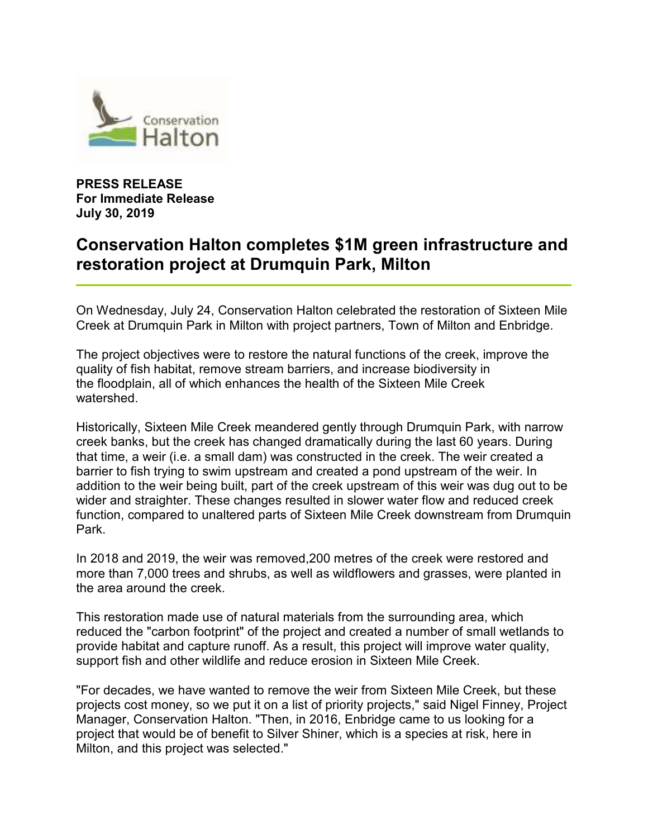

**PRESS RELEASE For Immediate Release July 30, 2019** 

## **Conservation Halton completes \$1M green infrastructure and restoration project at Drumquin Park, Milton**

On Wednesday, July 24, Conservation Halton celebrated the restoration of Sixteen Mile Creek at Drumquin Park in Milton with project partners, Town of Milton and Enbridge.

The project objectives were to restore the natural functions of the creek, improve the quality of fish habitat, remove stream barriers, and increase biodiversity in the floodplain, all of which enhances the health of the Sixteen Mile Creek watershed.

Historically, Sixteen Mile Creek meandered gently through Drumquin Park, with narrow creek banks, but the creek has changed dramatically during the last 60 years. During that time, a weir (i.e. a small dam) was constructed in the creek. The weir created a barrier to fish trying to swim upstream and created a pond upstream of the weir. In addition to the weir being built, part of the creek upstream of this weir was dug out to be wider and straighter. These changes resulted in slower water flow and reduced creek function, compared to unaltered parts of Sixteen Mile Creek downstream from Drumquin Park.

In 2018 and 2019, the weir was removed,200 metres of the creek were restored and more than 7,000 trees and shrubs, as well as wildflowers and grasses, were planted in the area around the creek.

This restoration made use of natural materials from the surrounding area, which reduced the "carbon footprint" of the project and created a number of small wetlands to provide habitat and capture runoff. As a result, this project will improve water quality, support fish and other wildlife and reduce erosion in Sixteen Mile Creek.

"For decades, we have wanted to remove the weir from Sixteen Mile Creek, but these projects cost money, so we put it on a list of priority projects," said Nigel Finney, Project Manager, Conservation Halton. "Then, in 2016, Enbridge came to us looking for a project that would be of benefit to Silver Shiner, which is a species at risk, here in Milton, and this project was selected."